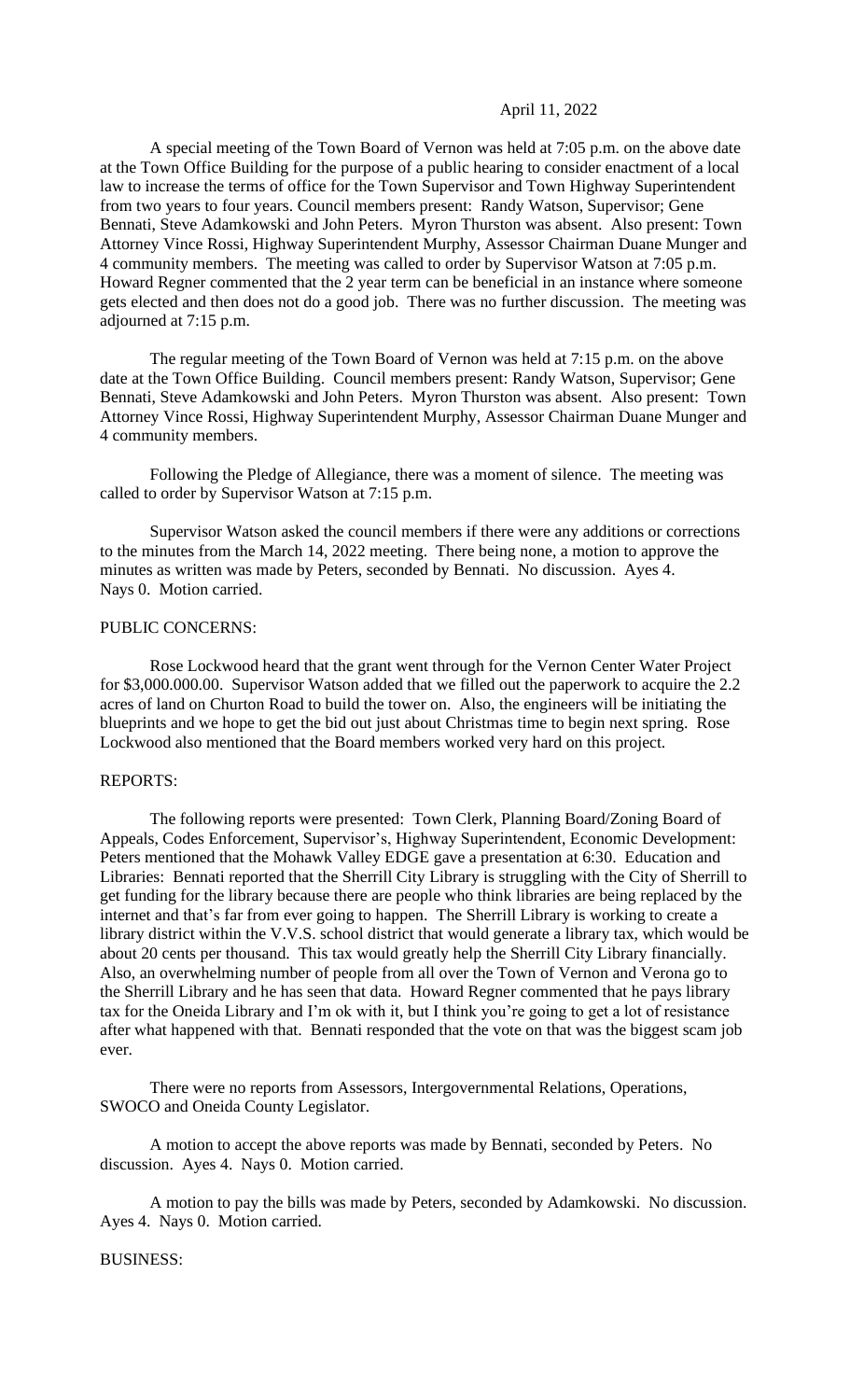## April 11, 2022

A special meeting of the Town Board of Vernon was held at 7:05 p.m. on the above date at the Town Office Building for the purpose of a public hearing to consider enactment of a local law to increase the terms of office for the Town Supervisor and Town Highway Superintendent from two years to four years. Council members present: Randy Watson, Supervisor; Gene Bennati, Steve Adamkowski and John Peters. Myron Thurston was absent. Also present: Town Attorney Vince Rossi, Highway Superintendent Murphy, Assessor Chairman Duane Munger and 4 community members. The meeting was called to order by Supervisor Watson at 7:05 p.m. Howard Regner commented that the 2 year term can be beneficial in an instance where someone gets elected and then does not do a good job. There was no further discussion. The meeting was adjourned at 7:15 p.m.

The regular meeting of the Town Board of Vernon was held at 7:15 p.m. on the above date at the Town Office Building. Council members present: Randy Watson, Supervisor; Gene Bennati, Steve Adamkowski and John Peters. Myron Thurston was absent. Also present: Town Attorney Vince Rossi, Highway Superintendent Murphy, Assessor Chairman Duane Munger and 4 community members.

Following the Pledge of Allegiance, there was a moment of silence. The meeting was called to order by Supervisor Watson at 7:15 p.m.

Supervisor Watson asked the council members if there were any additions or corrections to the minutes from the March 14, 2022 meeting. There being none, a motion to approve the minutes as written was made by Peters, seconded by Bennati. No discussion. Ayes 4. Nays 0. Motion carried.

## PUBLIC CONCERNS:

Rose Lockwood heard that the grant went through for the Vernon Center Water Project for \$3,000.000.00. Supervisor Watson added that we filled out the paperwork to acquire the 2.2 acres of land on Churton Road to build the tower on. Also, the engineers will be initiating the blueprints and we hope to get the bid out just about Christmas time to begin next spring. Rose Lockwood also mentioned that the Board members worked very hard on this project.

#### REPORTS:

The following reports were presented: Town Clerk, Planning Board/Zoning Board of Appeals, Codes Enforcement, Supervisor's, Highway Superintendent, Economic Development: Peters mentioned that the Mohawk Valley EDGE gave a presentation at 6:30. Education and Libraries: Bennati reported that the Sherrill City Library is struggling with the City of Sherrill to get funding for the library because there are people who think libraries are being replaced by the internet and that's far from ever going to happen. The Sherrill Library is working to create a library district within the V.V.S. school district that would generate a library tax, which would be about 20 cents per thousand. This tax would greatly help the Sherrill City Library financially. Also, an overwhelming number of people from all over the Town of Vernon and Verona go to the Sherrill Library and he has seen that data. Howard Regner commented that he pays library tax for the Oneida Library and I'm ok with it, but I think you're going to get a lot of resistance after what happened with that. Bennati responded that the vote on that was the biggest scam job ever.

There were no reports from Assessors, Intergovernmental Relations, Operations, SWOCO and Oneida County Legislator.

A motion to accept the above reports was made by Bennati, seconded by Peters. No discussion. Ayes 4. Nays 0. Motion carried.

A motion to pay the bills was made by Peters, seconded by Adamkowski. No discussion. Ayes 4. Nays 0. Motion carried.

### BUSINESS: